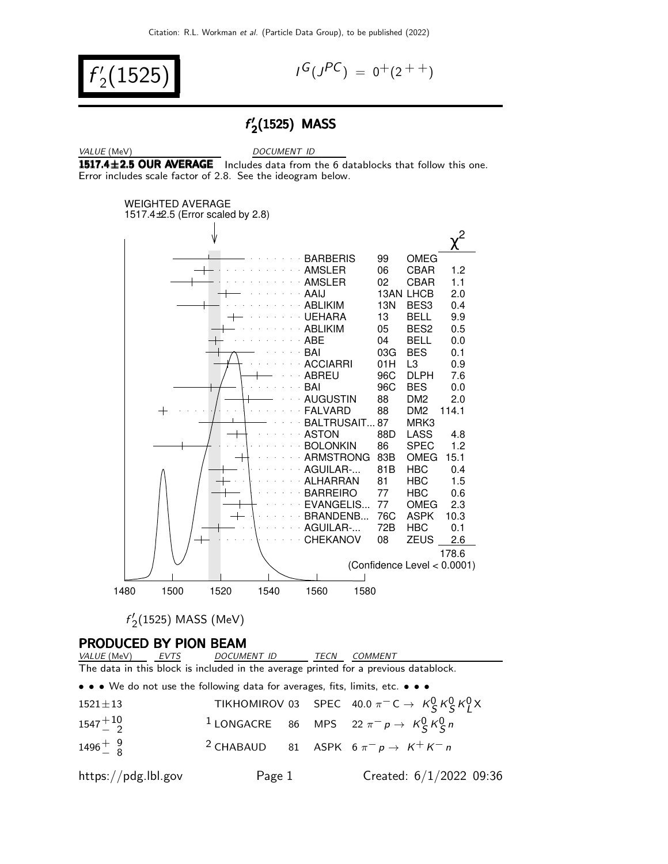$f'$  $\binom{1}{2}$ (1525)

$$
I^G(J^{PC}) = 0^+(2^{++})
$$

### f ′  $\frac{7}{2}$ (1525) MASS

VALUE (MeV) DOCUMENT ID

1517.4 $\pm$ 2.5 OUR AVERAGE Includes data from the 6 datablocks that follow this one. Error includes scale factor of 2.8. See the ideogram below.



 $f'$  $\frac{1}{2}$ (1525) MASS (MeV)

| PRODUCED BY PION BEAM<br>VALUE (MeV) EVTS DOCUMENT ID TECN<br>COMMENT |                                                                                     |  |                                                                                                               |  |  |  |
|-----------------------------------------------------------------------|-------------------------------------------------------------------------------------|--|---------------------------------------------------------------------------------------------------------------|--|--|--|
|                                                                       |                                                                                     |  |                                                                                                               |  |  |  |
|                                                                       | The data in this block is included in the average printed for a previous datablock. |  |                                                                                                               |  |  |  |
|                                                                       | • • • We do not use the following data for averages, fits, limits, etc. • • •       |  |                                                                                                               |  |  |  |
| $1521 \pm 13$                                                         |                                                                                     |  | TIKHOMIROV 03 SPEC 40.0 $\pi^{-}$ C $\rightarrow$ K <sub>S</sub> K <sub>S</sub> K <sub>J</sub> <sup>N</sup> X |  |  |  |
| $1547 + 10$                                                           |                                                                                     |  | <sup>1</sup> LONGACRE 86 MPS 22 $\pi^- p \rightarrow K^0_S K^0_S n$                                           |  |  |  |
| $1496^{+9}_{-8}$                                                      |                                                                                     |  | <sup>2</sup> CHABAUD 81 ASPK $6 \pi^- p \rightarrow K^+ K^- n$                                                |  |  |  |
| https://pdg.lbl.gov                                                   | Page 1                                                                              |  | Created: $6/1/2022$ 09:36                                                                                     |  |  |  |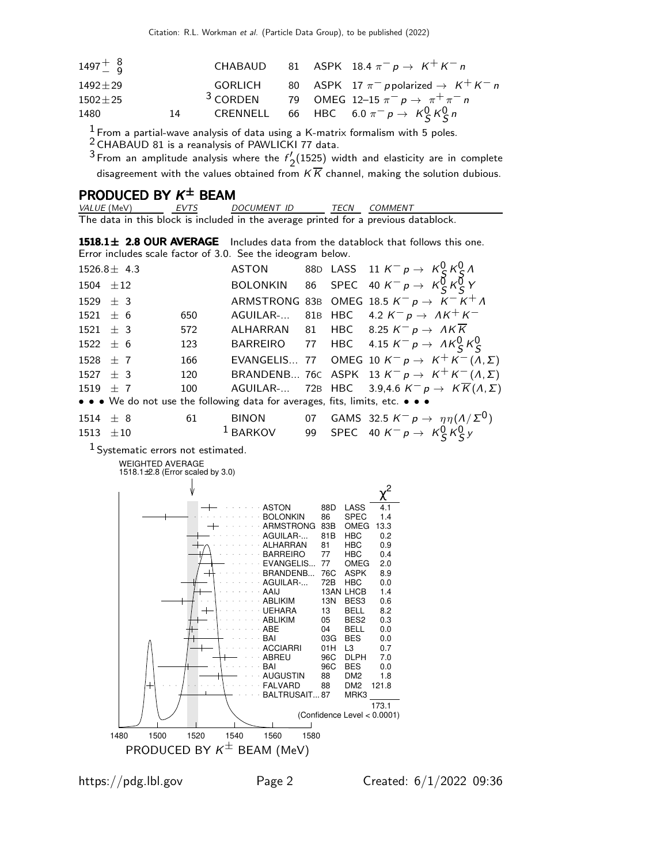| $1497 + 8$    |    |  | CHABAUD 81 ASPK 18.4 $\pi^- p \rightarrow K^+ K^- n$                                |
|---------------|----|--|-------------------------------------------------------------------------------------|
| $1492 + 29$   |    |  | GORLICH 80 ASPK 17 $\pi^-$ ppolarized $\rightarrow$ K <sup>+</sup> K <sup>-</sup> n |
| $1502 \pm 25$ |    |  | 3 CORDEN 79 OMEG 12-15 $\pi^- p \to \pi^+ \pi^- n$                                  |
| 1480          | 14 |  | CRENNELL 66 HBC 6.0 $\pi^- p \to K^0_S K^0_S n$                                     |

 $\frac{1}{2}$  From a partial-wave analysis of data using a K-matrix formalism with 5 poles.

 $2$  CHABAUD 81 is a reanalysis of PAWLICKI 77 data.

 $3$  From an amplitude analysis where the  $f'$ .  $\frac{1}{2}$ (1525) width and elasticity are in complete disagreement with the values obtained from  $KK$  channel, making the solution dubious.

## PRODUCED BY  $K^{\pm}$  BEAM

| <i>VALUE</i> (MeV) | EVTS | DOCUMENT ID | <b>TFCN</b> | COMMENT                                                                             |
|--------------------|------|-------------|-------------|-------------------------------------------------------------------------------------|
|                    |      |             |             | The data in this block is included in the average printed for a previous datablock. |

1518.1 $\pm$  2.8 OUR AVERAGE Includes data from the datablock that follows this one. Error includes scale factor of 3.0. See the ideogram below.

| $1526.8 \pm 4.3$ |    |     |                                                                               |  | ASTON 88D LASS 11 $K^- p \rightarrow K^0_S K^0_S \Lambda$                    |
|------------------|----|-----|-------------------------------------------------------------------------------|--|------------------------------------------------------------------------------|
| 1504 $\pm$ 12    |    |     |                                                                               |  | BOLONKIN 86 SPEC 40 $K^- p \rightarrow K \overline{G} K \overline{G} Y$      |
| $1529 + 3$       |    |     |                                                                               |  | ARMSTRONG 83B OMEG 18.5 $K^- p \rightarrow K^- K^+ \Lambda$                  |
| $1521 + 6$       |    | 650 |                                                                               |  | AGUILAR- 81B HBC 4.2 $K^- p \rightarrow AK^+K^-$                             |
| $1521 \pm 3$     |    | 572 |                                                                               |  | ALHARRAN 81 HBC 8.25 $K^- p \rightarrow AK\overline{K}$                      |
| $1522 \pm 6$     |    | 123 |                                                                               |  | BARREIRO 77 HBC 4.15 $K^- p \rightarrow A K^0_S K^0_S$                       |
| 1528 $\pm$ 7     |    | 166 |                                                                               |  | EVANGELIS 77 OMEG 10 $K^- p \rightarrow K^+ K^-(\Lambda, \Sigma)$            |
| $1527 \pm 3$     |    | 120 |                                                                               |  | BRANDENB 76C ASPK 13 $K^- p \rightarrow K^+ K^-(\Lambda, \Sigma)$            |
| 1519 $\pm$ 7     |    | 100 |                                                                               |  | AGUILAR- 72B HBC 3.9,4.6 $K^- p \rightarrow K \overline{K}(\Lambda, \Sigma)$ |
|                  |    |     | • • • We do not use the following data for averages, fits, limits, etc. • • • |  |                                                                              |
| $1514 \pm 8$     | 61 |     | <b>BINON</b>                                                                  |  | 07 GAMS 32.5 $K^- p \rightarrow \eta \eta (\Lambda/\Sigma^0)$                |
| $1513 \pm 10$    |    |     | $1$ BARKOV                                                                    |  | 99 SPEC 40 $K^- p \rightarrow K^0_S K^0_S y$                                 |
|                  |    |     |                                                                               |  |                                                                              |

1 Systematic errors not estimated.

WEIGHTED AVERAGE

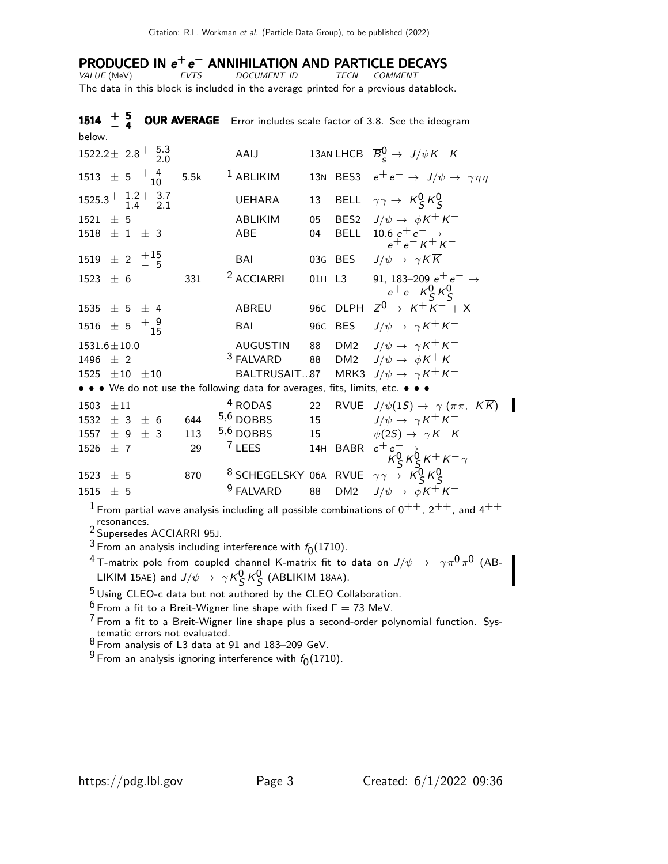# PRODUCED IN  $e^+e^-$  ANNIHILATION AND PARTICLE DECAYS

VALUE (MeV) EVTS DOCUMENT ID TECN COMMENT The data in this block is included in the average printed for a previous datablock.

**1514**  $\pm$  **5** OUR AVERAGE Error includes scale factor of 3.8. See the ideogram below.  $1522.2 \pm 2.8 \pm 5.3 \atop - 2.0$ AAIJ 13AN LHCB  $\overline{B}_{s}^{0} \rightarrow J/\psi K^{+} K^{-}$  $1513 \pm 5 \frac{+4}{-10}$ 5.5k <sup>1</sup> ABLIKIM 13N BES3  $e^+e^- \rightarrow J/\psi \rightarrow \gamma \eta \eta$  $1525.3 + 1.2 + 3.7$ <br> $1.4 - 2.1$ UEHARA 13 BELL  $\gamma \gamma \rightarrow K_S^0 K_S^0$ 1521  $\pm$  5 ABLIKIM 05 BES2  $J/\psi \rightarrow \phi K^+ K^ 1518 \pm 1 \pm 3$  ABE 04 BELL  $10.6 e^+ e^- \rightarrow$  $e^+e^- K^+ K^ 1519 \pm 2 \ \frac{+15}{-}5$ BAI 03G BES  $J/\psi \to \gamma K \overline{K}$ 1523  $\pm$  6 331 <sup>2</sup> ACCIARRI 01H L3 91, 183–209 e<sup>+</sup> e<sup>−</sup> →  $e^+e^-$  K<sup>0</sup><sub>S</sub> K<sup>0</sup><sub>S</sub> 1535  $\pm$  5  $\pm$  4 ABREU 96C DLPH  $Z^{0} \rightarrow K^{+}K^{-} + X$  $1516 \pm 5 \frac{+9}{15}$ BAI 96C BES  $J/\psi \rightarrow \gamma K^+ K^-$ 1531.6 $\pm$ 10.0 AUGUSTIN 88 DM2  $J/\psi \rightarrow \gamma K^+ K^-$ 1496  $\pm$  2 <sup>3</sup> FALVARD 88 DM2  $J/\psi \rightarrow \phi K^+ K^-$ 1525  $\pm 10$   $\pm 10$  BALTRUSAIT...87 MRK3  $J/\psi \rightarrow \gamma K^+ K^-$ • • • We do not use the following data for averages, fits, limits, etc. • • • 1503  $\pm 11$  4 RODAS 22 RVUE  $J/\psi(1S) \rightarrow \gamma (\pi \pi, K \overline{K})$ 1532  $\pm$  3  $\pm$  6 644 <sup>5,6</sup> DOBBS 15  $J/\psi \to \gamma K^+ K^-$ 1557  $\pm$  9  $\pm$  3 113 <sup>5,6</sup> DOBBS 15  $\psi(2S) \to \gamma K^+ K^ 1526 \pm 7$  29 <sup>7</sup> LEES 14H BABR  $e^+e^-_2 \rightarrow$  $\overline{K}_{S}^{0}\overline{K}_{S}^{0}\overline{K}^{+}\overline{K}^{-}\gamma$  $1523 \pm 5$  870 8 SCHEGELSKY 06A RVUE  $\gamma \gamma \rightarrow K^0_S K^0_S$ <br>  $1515 \pm 5$  9 FALVARD 88 DM2  $J/\psi \rightarrow \phi K^+ K^ 1515 + 5$ 

 $1$  From partial wave analysis including all possible combinations of  $0^{++}$ ,  $2^{++}$ , and  $4^{++}$ resonances.

2 Supersedes ACCIARRI 95J.

<sup>3</sup> From an analysis including interference with  $f_0(1710)$ .

 $^4$ T-matrix pole from coupled channel K-matrix fit to data on  $J/\psi\,\rightarrow\,\,\,\gamma\pi^0\pi^0$  (AB-LIKIM 15AE) and  $J/\psi \rightarrow \gamma K_S^0 K_S^0$  (ABLIKIM 18AA).

<sup>5</sup> Using CLEO-c data but not authored by the CLEO Collaboration.

<sup>6</sup> From a fit to a Breit-Wigner line shape with fixed  $Γ = 73$  MeV.

 $<sup>7</sup>$  From a fit to a Breit-Wigner line shape plus a second-order polynomial function. Sys-</sup> tematic errors not evaluated.

8 From analysis of L3 data at 91 and 183–209 GeV.

 $^9$  From an analysis ignoring interference with  $f_{\rm 0}(1710)$ .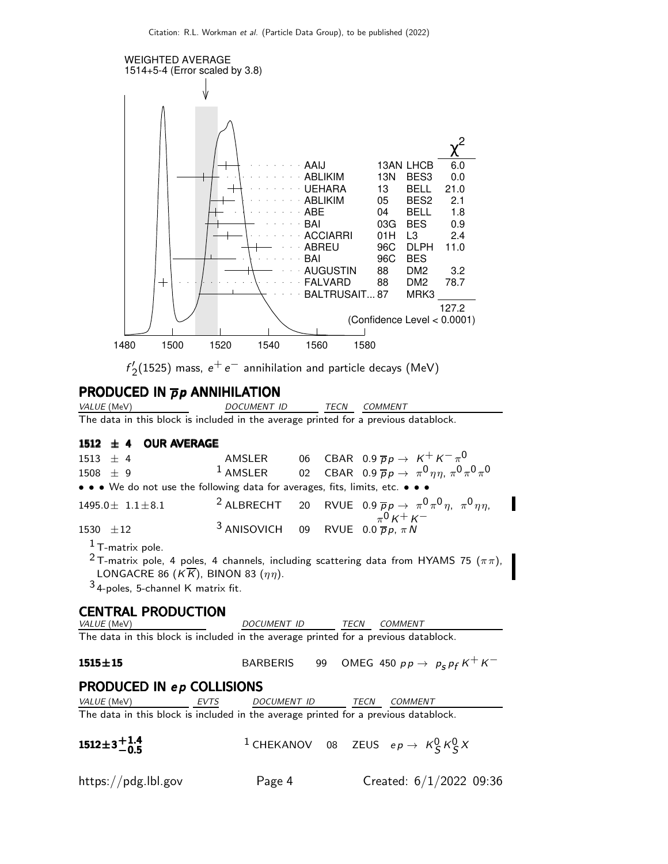

I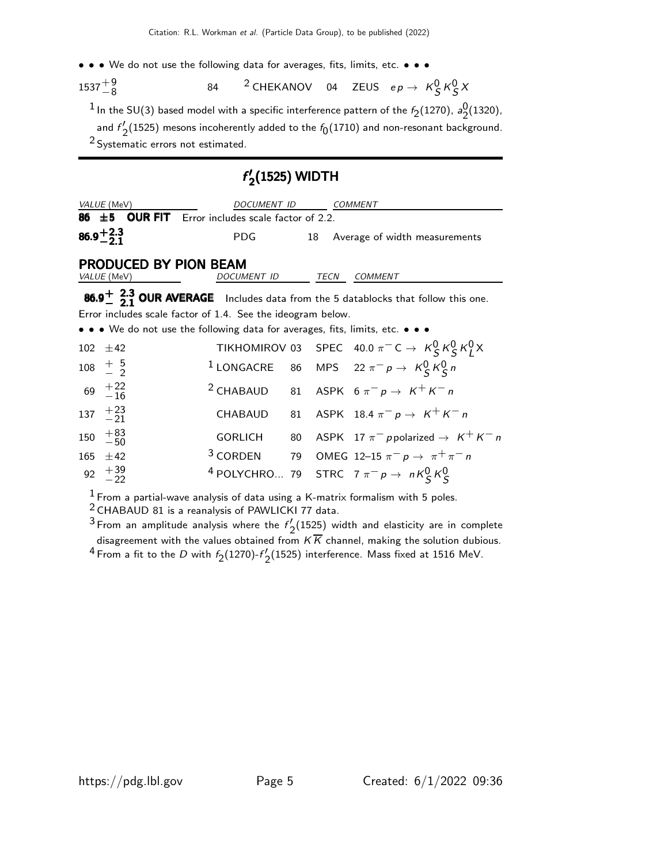• • • We do not use the following data for averages, fits, limits, etc. • • •

 $1537 + 9 \over 8$ 84  $^2$  CHEKANOV 04 ZEUS e $p \rightarrow K_S^0 K_S^0 X$ 

 $^1$  In the SU(3) based model with a specific interference pattern of the  $\it f_2(1270)$ ,  $\it a_2^0$  $\frac{0}{2}$ (1320), and  $f'$  $\frac{1}{2}$ (1525) mesons incoherently added to the  $f_{0}(1710)$  and non-resonant background. 2 Systematic errors not estimated.

### f ′  $\rm _2(1525)$  WIDTH

|                      | VALUE (MeV)                                        | DOCUMENT ID                                                                                                           |    |      | <b>COMMENT</b>                                                                                                  |
|----------------------|----------------------------------------------------|-----------------------------------------------------------------------------------------------------------------------|----|------|-----------------------------------------------------------------------------------------------------------------|
|                      |                                                    | 86 $\pm$ 5 OUR FIT Error includes scale factor of 2.2.                                                                |    |      |                                                                                                                 |
| $86.9^{+2.3}_{-2.1}$ |                                                    | <b>PDG</b>                                                                                                            | 18 |      | Average of width measurements                                                                                   |
|                      | <b>PRODUCED BY PION BEAM</b><br><i>VALUE</i> (MeV) | DOCUMENT ID                                                                                                           |    | TECN | COMMENT                                                                                                         |
|                      |                                                    |                                                                                                                       |    |      | 86.9 <sup><math>+</math></sup> 2.3 OUR AVERAGE Includes data from the 5 datablocks that follow this one.        |
|                      |                                                    | Error includes scale factor of 1.4. See the ideogram below.                                                           |    |      |                                                                                                                 |
|                      |                                                    | $\bullet \bullet \bullet$ We do not use the following data for averages, fits, limits, etc. $\bullet \bullet \bullet$ |    |      |                                                                                                                 |
|                      | $102 + 42$                                         |                                                                                                                       |    |      | TIKHOMIROV 03 SPEC 40.0 $\pi^{-}$ C $\rightarrow$ K <sub>S</sub> K <sub>S</sub> K <sub>S</sub> K <sub>I</sub> X |
|                      | $108 \frac{+}{2}$                                  | $1$ LONGACRE                                                                                                          |    |      | 86 MPS 22 $\pi^- p \to K^0_S K^0_S n$                                                                           |
|                      | $69 \tfrac{+22}{-16}$                              |                                                                                                                       |    |      | <sup>2</sup> CHABAUD 81 ASPK $6 \pi^- p \rightarrow K^+ K^- n$                                                  |
|                      | 137 $+23$<br>-21                                   |                                                                                                                       |    |      | CHABAUD 81 ASPK 18.4 $\pi^- p \rightarrow K^+ K^- n$                                                            |
| 150                  | $+83$<br>$-50$                                     | <b>GORLICH</b>                                                                                                        |    |      | 80 ASPK 17 $\pi^-$ ppolarized $\rightarrow$ $K^+K^-$ n                                                          |
| 165                  | $+42$                                              |                                                                                                                       |    |      | <sup>3</sup> CORDEN 79 OMEG 12-15 $\pi^- p \to \pi^+ \pi^- n$                                                   |
| 92                   | $^{+39}_{-22}$                                     |                                                                                                                       |    |      | <sup>4</sup> POLYCHRO 79 STRC $7 \pi^{-} p \rightarrow nK_S^0 K_S^0$                                            |

 $1$  From a partial-wave analysis of data using a K-matrix formalism with 5 poles.

2 CHABAUD 81 is a reanalysis of PAWLICKI 77 data.

 $3$  From an amplitude analysis where the  $f'$  $\frac{2}{2}$ (1525) width and elasticity are in complete disagreement with the values obtained from  $K K$  channel, making the solution dubious. <sup>4</sup> From a fit to the *D* with  $f_2(1270)$ - $f'_2$  $2(1525)$  interference. Mass fixed at 1516 MeV.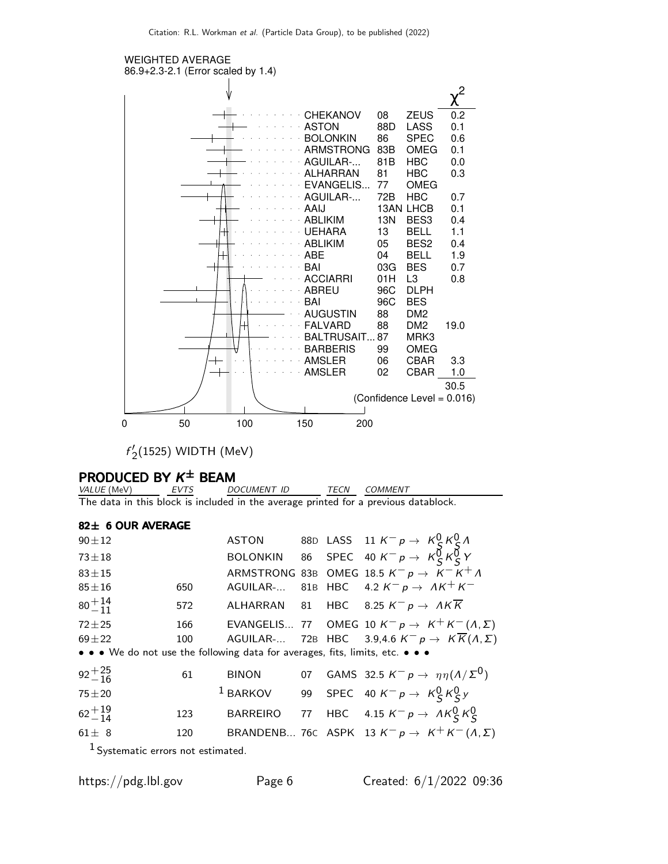

 $f'$  $\frac{1}{2}$ (1525) WIDTH (MeV)

## PRODUCED BY  $\kappa^\pm$  Beam

VALUE (MeV) EVTS DOCUMENT ID TECN COMMENT The data in this block is included in the average printed for a previous datablock.

### 82± 6 OUR AVERAGE

| $90 + 12$                                                                     |     |              |  |                                                                                                                    |
|-------------------------------------------------------------------------------|-----|--------------|--|--------------------------------------------------------------------------------------------------------------------|
| $73 + 18$                                                                     |     |              |  | ASTON 88D LASS 11 $K^- p \rightarrow K_S^0 K_S^0 \Lambda$<br>BOLONKIN 86 SPEC 40 $K^- p \rightarrow K_S^0 K_S^0 Y$ |
| $83 + 15$                                                                     |     |              |  | ARMSTRONG 83B OMEG 18.5 $K^- p \rightarrow K^- K^+ \Lambda$                                                        |
| $85 \pm 16$                                                                   | 650 |              |  | AGUILAR- 81B HBC 4.2 $K^- p \rightarrow AK^+K^-$                                                                   |
| $80^{+14}_{-11}$                                                              | 572 |              |  | ALHARRAN 81 HBC 8.25 $K^- p \rightarrow AK \overline{K}$                                                           |
| $72 + 25$                                                                     | 166 |              |  | EVANGELIS 77 OMEG 10 $K^- p \rightarrow K^+ K^- (\Lambda, \Sigma)$                                                 |
| $69 + 22$                                                                     | 100 |              |  | AGUILAR- 72B HBC 3.9,4.6 $K^- p \rightarrow K \overline{K}(\Lambda, \Sigma)$                                       |
| • • • We do not use the following data for averages, fits, limits, etc. • • • |     |              |  |                                                                                                                    |
| $92 + \frac{25}{16}$                                                          | 61  | <b>BINON</b> |  | 07 GAMS 32.5 $K^- p \rightarrow \eta \eta (\Lambda/\Sigma^0)$                                                      |
| $75 + 20$                                                                     |     | $1$ BARKOV   |  | 99 SPEC 40 $K^-p \rightarrow K_S^0 K_S^0 y$                                                                        |
| $62^{+19}_{-14}$                                                              | 123 |              |  | BARREIRO 77 HBC 4.15 $K^- p \rightarrow A K^0_S K^0_S$                                                             |
| $61 \pm 8$                                                                    | 120 |              |  | BRANDENB 76C ASPK 13 $K^- p \rightarrow K^+ K^- (\Lambda, \Sigma)$                                                 |
|                                                                               |     |              |  |                                                                                                                    |

1 Systematic errors not estimated.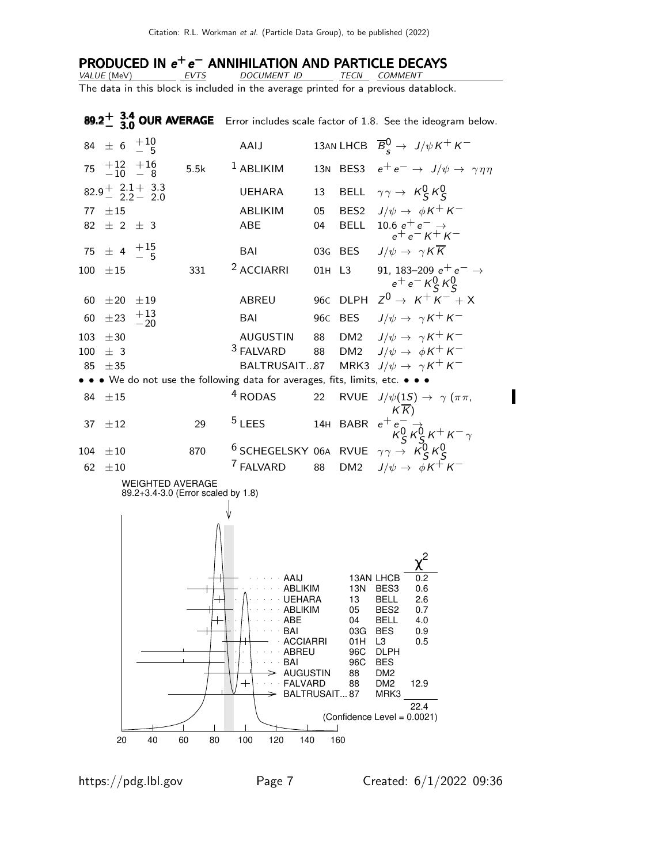# PRODUCED IN  $e^+e^-$  ANNIHILATION AND PARTICLE DECAYS

VALUE (MeV) EVTS DOCUMENT ID TECN COMMENT The data in this block is included in the average printed for a previous datablock.

**89.2** $\pm$  **3.4 OUR AVERAGE** Error includes scale factor of 1.8. See the ideogram below.  $84 \pm 6 \begin{array}{c} +10 \\ -5 \end{array}$ AAIJ 13AN LHCB  $\overline{B}_{s}^{0} \rightarrow J/\psi K^{+} K^{-}$  $75$   $\begin{array}{c} +12 \\ -10 \end{array}$   $\begin{array}{c} +16 \\ -8 \end{array}$ 5.5k <sup>1</sup> ABLIKIM 13N BES3  $e^+e^- \rightarrow J/\psi \rightarrow \gamma \eta \eta$  $82.9 + 2.1 + 3.3$ <br>2.2 - 2.0 UEHARA 13 BELL  $\gamma \gamma \rightarrow K_S^0 K_S^0$ 77  $\pm 15$  ABLIKIM 05 BES2  $J/\psi \rightarrow \phi K^+ K^ 82 \pm 2 \pm 3$  ABE 04 BELL  $10.6 e^+ e^- \rightarrow$  $e^+e^ K^+K^ 75 \pm 4 \begin{array}{c} +15 \\ -5 \end{array}$ BAI 03G BES  $J/\psi \rightarrow \gamma K \overline{K}$ 100  $\pm$ 15 331 <sup>2</sup> ACCIARRI 01H L3 91, 183–209 e<sup>+</sup> e<sup>−</sup> →  $e^+e^-$  K<sup>0</sup><sub>S</sub> K<sup>0</sup><sub>S</sub>  $60 \pm 20 \pm 19$  ABREU 96C DLPH  $Z^0 \rightarrow K^+ K^- + X$ 60  $\pm 23$   $+13$ <br>-20 BAI 96C BES  $J/\psi \to \gamma K^+ K^-$ 103  $\pm$ 30 AUGUSTIN 88 DM2  $J/\psi \rightarrow \gamma K^+ K^-$ <br>100  $\pm$  3  $^3$  FALVARD 88 DM2  $J/\psi \rightarrow \phi K^+ K^ 100 \pm 3$ 88 DM2  $J/\psi \rightarrow \phi K^+ K^-$ 85  $\pm$ 35 BALTRUSAIT...87 MRK3 J/ $\psi \rightarrow \gamma K^+ K^-$ • • • We do not use the following data for averages, fits, limits, etc. • • • 84  $\pm 15$  4 RODAS 22 RVUE  $J/\psi(1S) \rightarrow \gamma (\pi \pi,$  $K(\overline{K})$  $37 \pm 12$  29 <sup>5</sup> LEES 14H BABR  $e^+e^-_6 \rightarrow$  $\overline{K}^0_S \overline{K}^0_S K^+ K^-$ 104  $\pm$ 10 870 6 SCHEGELSKY 06A RVUE  $\gamma \gamma \rightarrow K_S^0 K_S^0$ 62  $\pm 10$  7 FALVARD 88 DM2  $J/\psi \rightarrow \phi K^+ K^-$ WEIGHTED AVERAGE 89.2+3.4-3.0 (Error scaled by 1.8) BALTRUSAIT... 87 MRK3 FALVARD 88 DM2 12.9 AUGUSTIN 88 DM2 BAI 96C BES ABREU 96C DLPH ACCIARRI 01H L3 0.5 BAI 03G BES 0.9 ABE 04 BELL 4.0 ABLIKIM 05 BES2 0.7 UEHARA 13 BELL 2.6 ABLIKIM 13N BES3 0.6 AAIJ 13AN LHCB 0.2 χ 2 22.4 (Confidence Level = 0.0021) 20 40 60 80 100 120 140 160

I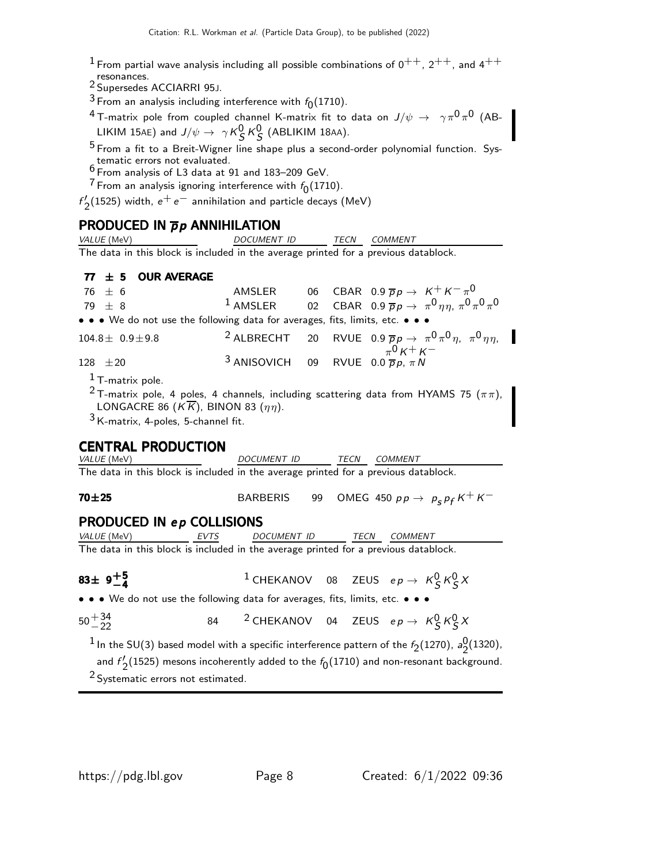- $1$  From partial wave analysis including all possible combinations of  $0^{++}$ ,  $2^{++}$ , and  $4^{++}$
- resonances.<br><sup>2</sup> Supersedes ACCIARRI 95J.
- <sup>3</sup> From an analysis including interference with  $f_0(1710)$ .
- $^4$ T-matrix pole from coupled channel K-matrix fit to data on  $J/\psi\,\rightarrow\,\,\,\gamma\pi^0\pi^0$  (AB-LIKIM 15AE) and  $J/\psi \rightarrow \gamma K_S^0 K_S^0$  (ABLIKIM 18AA).
- $^5$  From a fit to a Breit-Wigner line shape plus a second-order polynomial function. Systematic errors not evaluated. 6 From analysis of L3 data at 91 and 183–209 GeV.
- 
- $^7$  From an analysis ignoring interference with  $f_{\rm 0}(1710)$ .

f ′  $\frac{1}{2}$ (1525) width,  $e^+e^-$  annihilation and particle decays (MeV)

| <b>PRODUCED IN <math>\overline{p}p</math> ANNIHILATION</b>                                                                                                                                                                                                                                              |                           |  |  |                                                                                                                                  |  |
|---------------------------------------------------------------------------------------------------------------------------------------------------------------------------------------------------------------------------------------------------------------------------------------------------------|---------------------------|--|--|----------------------------------------------------------------------------------------------------------------------------------|--|
| VALUE (MeV)                                                                                                                                                                                                                                                                                             | DOCUMENT ID               |  |  | TECN COMMENT                                                                                                                     |  |
| The data in this block is included in the average printed for a previous datablock.                                                                                                                                                                                                                     |                           |  |  |                                                                                                                                  |  |
| <b>OUR AVERAGE</b><br>$77 \pm 5$                                                                                                                                                                                                                                                                        |                           |  |  |                                                                                                                                  |  |
|                                                                                                                                                                                                                                                                                                         |                           |  |  |                                                                                                                                  |  |
| $76 \pm 6$                                                                                                                                                                                                                                                                                              |                           |  |  | AMSLER 06 CBAR 0.9 $\overline{p}p \to K^+K^-\pi^0$<br>1 AMSLER 02 CBAR 0.9 $\overline{p}p \to \pi^0\eta\eta$ , $\pi^0\pi^0\pi^0$ |  |
| 79 $\pm$ 8                                                                                                                                                                                                                                                                                              |                           |  |  |                                                                                                                                  |  |
| • • • We do not use the following data for averages, fits, limits, etc. • • •                                                                                                                                                                                                                           |                           |  |  |                                                                                                                                  |  |
| $104.8 \pm 0.9 \pm 9.8$                                                                                                                                                                                                                                                                                 |                           |  |  | <sup>2</sup> ALBRECHT 20 RVUE 0.9 $\overline{p}p \rightarrow \pi^0 \pi^0 \eta$ , $\pi^0 \eta \eta$ ,                             |  |
| $128 \pm 20$                                                                                                                                                                                                                                                                                            | <sup>3</sup> ANISOVICH 09 |  |  | RVUE 0.0 $\pi^0 K^+ K^-$<br>RVUE 0.0 $\overline{p} p, \pi N$                                                                     |  |
| $1$ T-matrix pole.                                                                                                                                                                                                                                                                                      |                           |  |  |                                                                                                                                  |  |
| $3$ K-matrix, 4-poles, 5-channel fit.<br><b>CENTRAL PRODUCTION</b><br><i>VALUE</i> (MeV)<br><u> 1990 - Johann Barbara, politik eta politik eta politik eta politik eta politik eta politik eta politik eta p</u><br>The data in this block is included in the average printed for a previous datablock. | DOCUMENT ID TECN COMMENT  |  |  |                                                                                                                                  |  |
| $70 + 25$                                                                                                                                                                                                                                                                                               |                           |  |  | BARBERIS 99 OMEG 450 $pp \rightarrow p_s p_f K^+ K^-$                                                                            |  |
| <b>PRODUCED IN ep COLLISIONS</b>                                                                                                                                                                                                                                                                        |                           |  |  |                                                                                                                                  |  |
| VALUE (MeV) EVTS                                                                                                                                                                                                                                                                                        | DOCUMENT ID TECN COMMENT  |  |  |                                                                                                                                  |  |
| The data in this block is included in the average printed for a previous datablock.                                                                                                                                                                                                                     |                           |  |  |                                                                                                                                  |  |
| 83 $\pm$ 9 <sup><math>+5</math></sup>                                                                                                                                                                                                                                                                   |                           |  |  | <sup>1</sup> CHEKANOV 08 ZEUS $ep \rightarrow K_S^0 K_S^0 X$                                                                     |  |
| • • • We do not use the following data for averages, fits, limits, etc. • • •                                                                                                                                                                                                                           |                           |  |  |                                                                                                                                  |  |
| $50^{+34}_{-22}$                                                                                                                                                                                                                                                                                        |                           |  |  | 84 <sup>2</sup> CHEKANOV 04 ZEUS $ep \rightarrow K_S^0 K_S^0 X$                                                                  |  |

 $^1$  In the SU(3) based model with a specific interference pattern of the  $\mathit{f}_{2}(1270)$ ,  $\mathit{a}_{2}^{0}$  $\frac{0}{2}$ (1320), and  $f'$  $\chi_{2}^{\prime}(1525)$  mesons incoherently added to the  $f_{0}(1710)$  and non-resonant background.

<sup>2</sup> Systematic errors not estimated.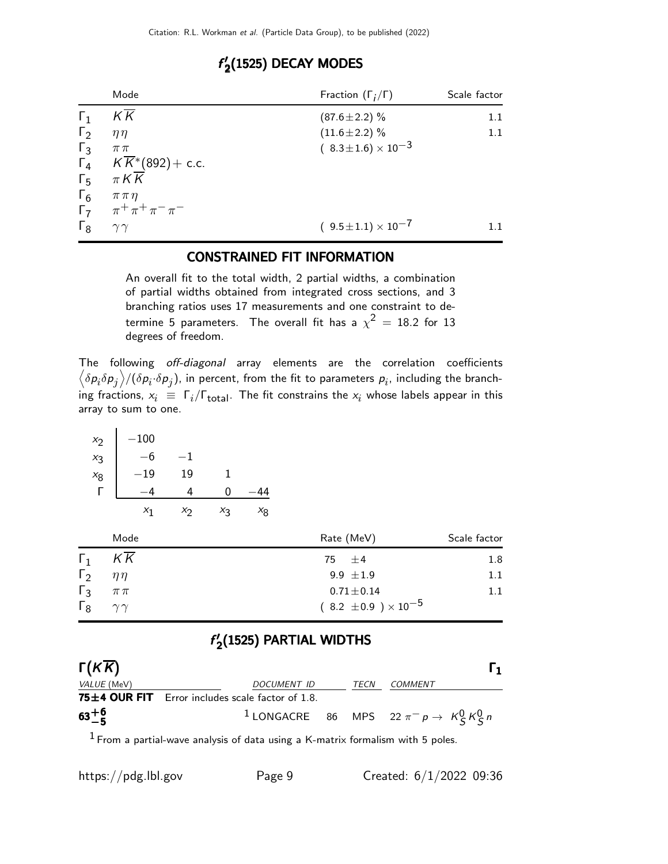|            | Mode                                      | Fraction $(\Gamma_i/\Gamma)$   | Scale factor |
|------------|-------------------------------------------|--------------------------------|--------------|
| $\Gamma_1$ | KΚ                                        | $(87.6 \pm 2.2)\%$             | 1.1          |
| $\Gamma_2$ | $\eta\eta$                                | $(11.6 \pm 2.2)\%$             | 1.1          |
| $\Gamma_3$ | $\pi\pi$                                  | $(8.3 \pm 1.6) \times 10^{-3}$ |              |
|            | $\Gamma_4$ $K\overline{K}$ * (892) + c.c. |                                |              |
| $\Gamma_5$ | $\pi K \overline{K}$                      |                                |              |
| $\Gamma_6$ | $\pi\pi\eta$                              |                                |              |
|            | $\Gamma_7$ $\pi^+ \pi^+ \pi^- \pi^-$      |                                |              |
| $\Gamma_8$ | $\gamma\gamma$                            | $(9.5 \pm 1.1) \times 10^{-7}$ |              |

### f ′  $\mathbf{Z}^{\prime}$ (1525) DECAY MODES

## CONSTRAINED FIT INFORMATION

An overall fit to the total width, 2 partial widths, a combination of partial widths obtained from integrated cross sections, and 3 branching ratios uses 17 measurements and one constraint to determine 5 parameters. The overall fit has a  $\chi^2\,=\,18.2$  for  $13$ degrees of freedom.

The following off-diagonal array elements are the correlation coefficients  $\left<\delta p_i\delta p_j\right>$ /( $\delta p_i\!\cdot\!\delta p_j$ ), in percent, from the fit to parameters  $p_i$ , including the branching fractions,  $x_i \equiv \Gamma_i/\Gamma_{\text{total}}$ . The fit constrains the  $x_i$  whose labels appear in this array to sum to one.

| $x_2$ | $-100$ |     |    |    |
|-------|--------|-----|----|----|
| $x_3$ | -6     | - 1 |    |    |
| $x_8$ | 19     | 19  | 1  |    |
|       |        |     | 0  |    |
|       |        | X7  | Хą | X8 |

|              | Mode           | Rate (MeV)                     | Scale factor |
|--------------|----------------|--------------------------------|--------------|
| $\Gamma_1$   | KK             | 75 $\pm$ 4                     | 1.8          |
| $\Gamma_2$   | $n\eta$        | 9.9 $\pm 1.9$                  | 1.1          |
| $\Gamma_3$   | $\pi\,\pi$     | $0.71 \pm 0.14$                | 1.1          |
| $\Gamma_{8}$ | $\gamma\gamma$ | $(8.2 \pm 0.9) \times 10^{-5}$ |              |

### f ′  $\gamma_{2}'$ (1525) PARTIAL WIDTHS

| $\Gamma(K\overline{K})$ |                                                        |      | Г1                                                          |
|-------------------------|--------------------------------------------------------|------|-------------------------------------------------------------|
| <i>VALUE</i> (MeV)      | DOCUMENT ID                                            | TECN | <i>COMMENT</i>                                              |
|                         | 75 $\pm$ 4 OUR FIT Error includes scale factor of 1.8. |      |                                                             |
| $63^{+6}_{-5}$          |                                                        |      | <sup>1</sup> LONGACRE 86 MPS 22 $\pi^- p \to K^0_S K^0_S n$ |

 $<sup>1</sup>$  From a partial-wave analysis of data using a K-matrix formalism with 5 poles.</sup>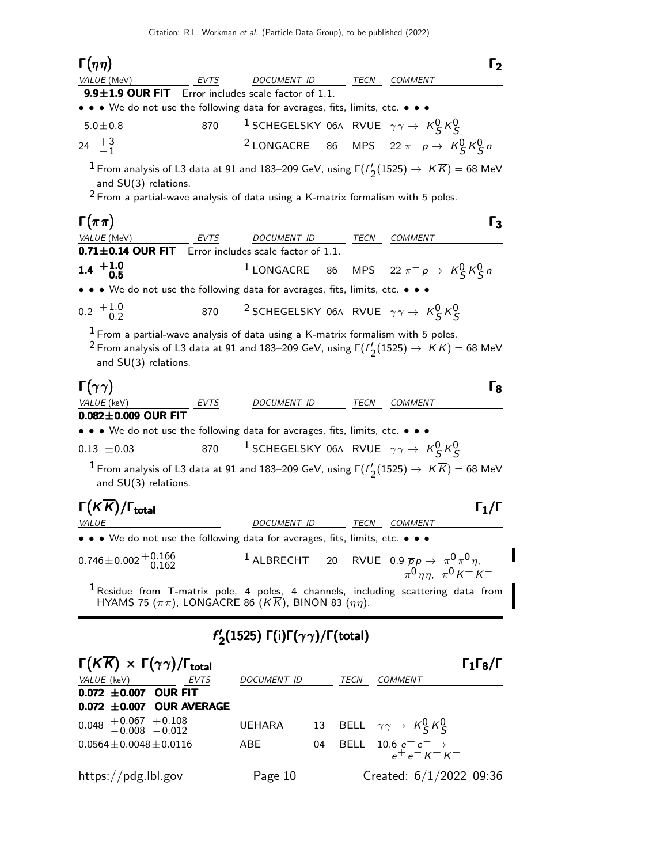| $\Gamma(\eta\eta)$                                                                                                                                                      |                     | $\Gamma_2$                                                                                                                          |  |
|-------------------------------------------------------------------------------------------------------------------------------------------------------------------------|---------------------|-------------------------------------------------------------------------------------------------------------------------------------|--|
| <i>VALUE</i> (MeV)<br>EVTS                                                                                                                                              | DOCUMENT ID         | TECN<br><b>COMMENT</b>                                                                                                              |  |
| <b>9.9<math>\pm</math>1.9 OUR FIT</b> Error includes scale factor of 1.1.<br>• • • We do not use the following data for averages, fits, limits, etc. • • •              |                     |                                                                                                                                     |  |
| $5.0 \pm 0.8$<br>870                                                                                                                                                    |                     | <sup>1</sup> SCHEGELSKY 06A RVUE $\gamma\gamma \rightarrow K_S^0 K_S^0$                                                             |  |
| 24 $\frac{+3}{-1}$                                                                                                                                                      |                     | <sup>2</sup> LONGACRE 86 MPS 22 $\pi^- p \to K_S^0 K_S^0 n$                                                                         |  |
| and SU(3) relations.<br>$2$ From a partial-wave analysis of data using a K-matrix formalism with 5 poles.                                                               |                     | $^{1}$ From analysis of L3 data at 91 and 183–209 GeV, using $\Gamma(f_\mathcal{O}'(1525)\to~K\overline{K})=68$ MeV                 |  |
| $\Gamma(\pi\pi)$                                                                                                                                                        |                     | $\Gamma_3$                                                                                                                          |  |
| VALUE (MeV)<br>EVTS                                                                                                                                                     | DOCUMENT ID         | COMMENT<br>TECN                                                                                                                     |  |
| 0.71±0.14 OUR FIT Error includes scale factor of 1.1.                                                                                                                   |                     |                                                                                                                                     |  |
| $1.4^{+1.0}_{-0.5}$                                                                                                                                                     |                     | <sup>1</sup> LONGACRE 86 MPS 22 $\pi^- p \to K_S^0 K_S^0 n$                                                                         |  |
| $\bullet\,\bullet\,\bullet\,$ We do not use the following data for averages, fits, limits, etc. $\bullet\,\bullet\,\bullet\,\bullet$                                    |                     |                                                                                                                                     |  |
| $0.2 \begin{array}{c} +1.0 \\ -0.2 \end{array}$<br>870                                                                                                                  |                     | <sup>2</sup> SCHEGELSKY 06A RVUE $\gamma\gamma \rightarrow K_S^0 K_S^0$                                                             |  |
| $^1$ From a partial-wave analysis of data using a K-matrix formalism with 5 poles.<br>and SU(3) relations.                                                              |                     | $^{2}$ From analysis of L3 data at 91 and 183–209 GeV, using F $(f'_{\mathcal{O}}(1525) \to~K\overline{K}) =$ 68 MeV                |  |
| $\Gamma(\gamma\gamma)$<br>VALUE (keV)<br>$0.082 \pm 0.009$ OUR FIT                                                                                                      | DOCUMENT ID         | $\Gamma_{8}$<br>TECN<br><b>COMMENT</b>                                                                                              |  |
| $\bullet\,\bullet\,\bullet\,$ We do not use the following data for averages, fits, limits, etc. $\bullet\,\bullet\,\bullet\,\bullet$                                    |                     |                                                                                                                                     |  |
| 870<br>$0.13 \pm 0.03$                                                                                                                                                  |                     | <sup>1</sup> SCHEGELSKY 06A RVUE $\gamma \gamma \rightarrow K_S^0 K_S^0$                                                            |  |
| and SU(3) relations.                                                                                                                                                    |                     | $^{-1}$ From analysis of L3 data at 91 and 183–209 GeV, using $\Gamma(f_\mathcal{O}'(1525)\to~K\overline{K})=68$ MeV                |  |
| $\Gamma(K\overline{K})/\Gamma_{\rm total}$<br>VALUE                                                                                                                     | DOCUMENT ID         | $\Gamma_1/\Gamma$<br>TECN<br>COMMENT                                                                                                |  |
| • • • We do not use the following data for averages, fits, limits, etc. • • •                                                                                           |                     |                                                                                                                                     |  |
| $0.746 \pm 0.002 \pm 0.166$                                                                                                                                             |                     | <sup>1</sup> ALBRECHT 20 RVUE 0.9 $\overline{p}p \rightarrow \pi^0 \pi^0 \eta$<br>$\pi^0$ nn. $\pi^0$ K <sup>+</sup> K <sup>-</sup> |  |
| $^1$ Residue from T-matrix pole, 4 poles, 4 channels, including scattering data from<br>HYAMS 75 $(\pi \pi)$ , LONGACRE 86 $(K\overline{K})$ , BINON 83 $(\eta \eta)$ . |                     |                                                                                                                                     |  |
| $f'_{2}(1525) \Gamma(i)\Gamma(\gamma\gamma)/\Gamma(\text{total})$                                                                                                       |                     |                                                                                                                                     |  |
| $\Gamma(K\overline{K})\,\times\,\Gamma(\gamma\gamma)/\Gamma_{\rm total}$<br>VALUE (keV)<br>EVTS<br>$0.072 \pm 0.007$ OUR FIT<br>0.072 ±0.007 OUR AVERAGE                | DOCUMENT ID         | $\Gamma_1\Gamma_8/\Gamma$<br>TECN<br>COMMENT                                                                                        |  |
| $0.048$ $+0.067$ $+0.108$<br>-0.008 -0.012                                                                                                                              | 13<br><b>UEHARA</b> | BELL $\gamma \gamma \rightarrow K_S^0 K_S^0$                                                                                        |  |
| $0.0564 \pm 0.0048 \pm 0.0116$                                                                                                                                          | ABE<br>04           | 10.6 $e^+e^- \rightarrow$<br>$e^+e^ \overline{\phantom{1}}$<br><b>BELL</b>                                                          |  |
| https://pdg.lbl.gov                                                                                                                                                     | Page 10             | Created: $6/1/2022$ 09:36                                                                                                           |  |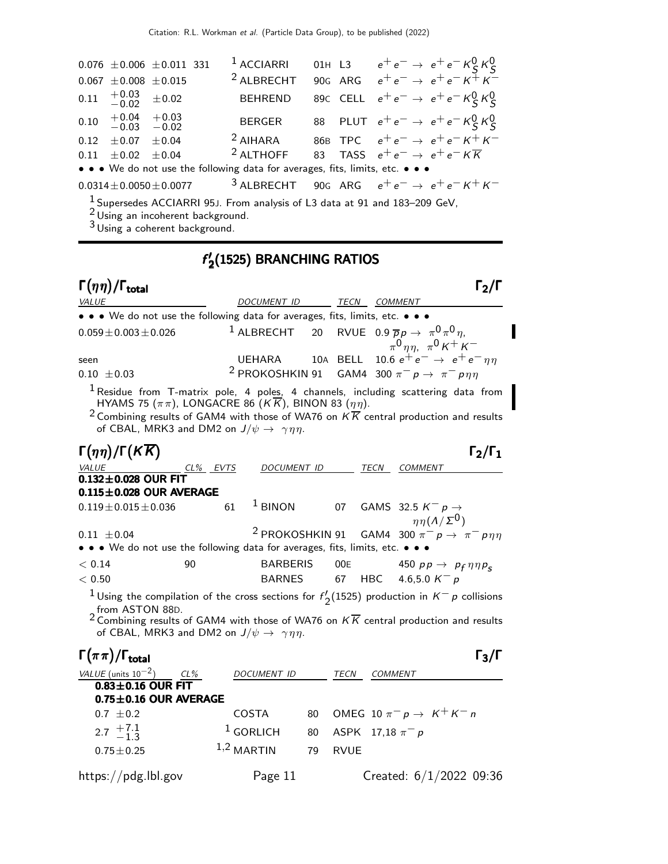|                                                                                                                               |                                                          | $0.076 \pm 0.006 \pm 0.011$ 331 |  | $1$ ACCIARRI                                                            |  |  | 01H L3 $e^+e^- \rightarrow e^+e^- K^0_S K^0_S$ |  |  |
|-------------------------------------------------------------------------------------------------------------------------------|----------------------------------------------------------|---------------------------------|--|-------------------------------------------------------------------------|--|--|------------------------------------------------|--|--|
|                                                                                                                               | $0.067 \pm 0.008 \pm 0.015$                              |                                 |  | <sup>2</sup> ALBRECHT                                                   |  |  | 90G ARG $e^+e^- \rightarrow e^+e^- K^+ K^-$    |  |  |
|                                                                                                                               | $0.11 \quad {}^{+0.03}_{-0.02} \quad {}^{+0.02}_{-0.02}$ |                                 |  | <b>BEHREND</b>                                                          |  |  | 89C CELL $e^+e^- \to e^+e^- K^0_S K^0_S$       |  |  |
|                                                                                                                               | $0.10$ $+0.04$ $+0.03$<br>$-0.03$ $-0.02$                |                                 |  | <b>BERGER</b>                                                           |  |  | 88 PLUT $e^+e^- \to e^+e^- K^0_S K^0_S$        |  |  |
|                                                                                                                               | $0.12 \pm 0.07 \pm 0.04$                                 |                                 |  | $2$ AIHARA                                                              |  |  | 86B TPC $e^+e^- \rightarrow e^+e^- K^+ K^-$    |  |  |
|                                                                                                                               | $0.11 \pm 0.02 \pm 0.04$                                 |                                 |  | <sup>2</sup> ALTHOFF 83 TASS $e^+e^- \rightarrow e^+e^- K \overline{K}$ |  |  |                                                |  |  |
| • • • We do not use the following data for averages, fits, limits, etc. • • •                                                 |                                                          |                                 |  |                                                                         |  |  |                                                |  |  |
| <sup>3</sup> ALBRECHT 90G ARG $e^+e^- \rightarrow e^+e^- K^+ K^-$<br>$0.0314 \pm 0.0050 \pm 0.0077$                           |                                                          |                                 |  |                                                                         |  |  |                                                |  |  |
| <sup>1</sup> Supersedes ACCIARRI 95J. From analysis of L3 data at 91 and 183-209 GeV,<br>21 Islam am thaobhanach ba alemannad |                                                          |                                 |  |                                                                         |  |  |                                                |  |  |

 $\frac{\gamma}{2}$ (1525) BRANCHING RATIOS

I

Using an incoherent background. 3 Using a coherent background.

f ′

## Γ $(\eta \eta)/\Gamma_{\text{total}}$  Γ $_2/\Gamma$ DOCUMENT ID TECN COMMENT • • • We do not use the following data for averages, fits, limits, etc. • • •  $0.059 \pm 0.003 \pm 0.026$  1 ALBRECHT 20 RVUE  $0 \pi^0 \eta$ ,  $\pi^{0}$  $\eta \eta$ ,  $\pi^{0}$  K<sup>+</sup> K<sup>-</sup> seen UEHARA 10A BELL 10.6  $e^+e^- \rightarrow e^+e^-\eta\eta$ <br>0.10 +0.03 <sup>2</sup> PROKOSHKIN 91 GAM4 300  $\pi^- p \rightarrow \pi^- p\eta\eta$ 0.10  $\pm$ 0.03 <sup>2</sup> PROKOSHKIN 91 GAM4 300  $\pi^-$  p  $\rightarrow \pi^-$  p  $\eta\eta$  $<sup>1</sup>$  Residue from T-matrix pole, 4 poles, 4 channels, including scattering data from</sup> HYAMS 75  $(\pi \pi)$ , LONGACRE 86  $(K\overline{K})$ , BINON 83  $(\eta \eta)$ . <sup>2</sup> Combining results of GAM4 with those of WA76 on  $K\overline{K}$  central production and results of CBAL, MRK3 and DM2 on  $J/\psi \rightarrow \gamma \eta \eta$ . Γ $(\eta \eta)/\Gamma(K\overline{K})$  Γ<sub>2</sub>/Γ<sub>1</sub> VALUE CL% EVTS DOCUMENT ID TECN COMMENT  $0.132 \pm 0.028$  OUR FIT  $0.115\pm0.028$  OUR AVERAGE  $0.119 \pm 0.015 \pm 0.036$  61 <sup>1</sup> BINON 07 GAMS 32.5 K<sup>-</sup> p →  $\eta \eta(\Lambda/\Sigma^0)$ 0.11  $\pm$ 0.04 <sup>2</sup> PROKOSHKIN 91 GAM4 300  $\pi^-$  p  $\rightarrow \pi^-$  p $\eta\eta$ • • • We do not use the following data for averages, fits, limits, etc.  $< 0.14$  90 BARBERIS 00E 450 pp  $\rightarrow$  p<sub>f</sub>  $\eta \eta p_{s}$  $< 0.14$  90 BARBERIS 00E 450  $p p \rightarrow p$ <br> $< 0.50$  BARNES 67 HBC 4.6,5.0 K<sup>−</sup> p <sup>1</sup> Using the compilation of the cross sections for  $f'$ .  $\binom{1}{2}$ (1525) production in  $K^-$  p collisions  $^2$  from ASTON 88D.<br><sup>2</sup> Combining results of GAM4 with those of WA76 on  $K \overline{K}$  central production and results of CBAL, MRK3 and DM2 on  $J/\psi \rightarrow \gamma \eta \eta$ .  $\Gamma(\pi \pi)/\Gamma_{\text{total}}$  Γ3/Γ  $\Gamma$ <sub>total</sub>Γ<sub>3</sub>/Γ VALUE (units  $10^{-2}$ ) CL% DOCUMENT ID TECN COMMENT  $0.83\pm0.16$  OUR FIT  $0.75\pm0.16$  OUR AVERAGE 0.7  $\pm$ 0.2 COSTA 80 OMEG 10  $\pi^-$  p →  $K^+ K^-$  n 2.7  $+7.1$ <br> $-1.3$  $1$  GORLICH 80 ASPK 17,18  $\pi^- p$  $0.75 \pm 0.25$   $1,2$  MARTIN 79 RVUE https://pdg.lbl.gov Page 11 Created: 6/1/2022 09:36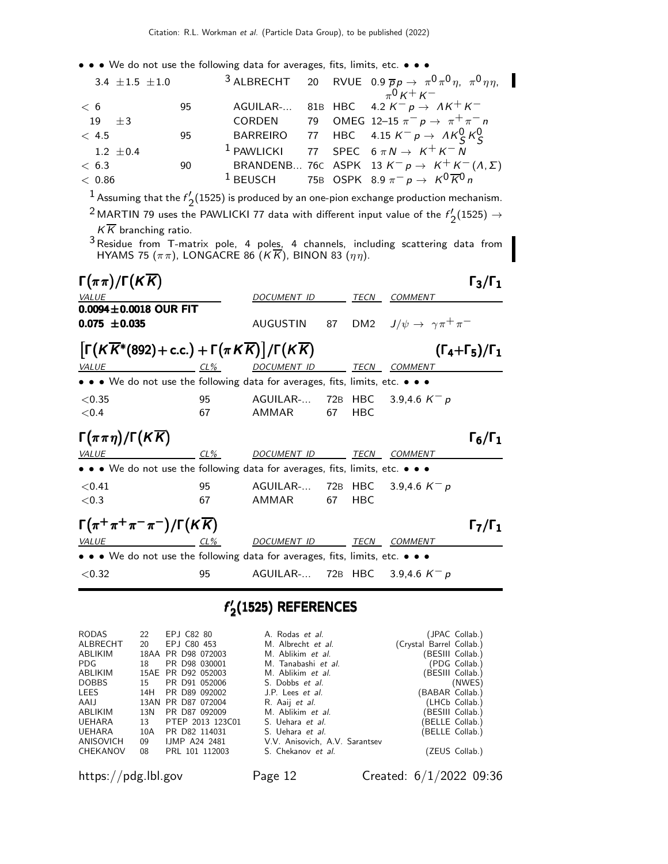• • • We do not use the following data for averages, fits, limits, etc. • • •

| 3.4 $\pm 1.5$ $\pm 1.0$ |    |  | <sup>3</sup> ALBRECHT 20 RVUE 0.9 $\overline{p}p \rightarrow \pi^0 \pi^0 \eta$ , $\pi^0 \eta \eta$ , |
|-------------------------|----|--|------------------------------------------------------------------------------------------------------|
|                         |    |  | $_{\pi}0_{K}$ + $_{K}$ -                                                                             |
| < 6                     | 95 |  | AGUILAR- 81B HBC 4.2 $K^- p \rightarrow AK^+K^-$                                                     |
| 19<br>$+3$              |    |  | CORDEN 79 OMEG 12-15 $\pi^- p \to \pi^+ \pi^- n$                                                     |
| < 4.5                   | 95 |  | BARREIRO 77 HBC 4.15 $K^- p \rightarrow A K^0_S K^0_S$                                               |
| $1.2 \pm 0.4$           |    |  | <sup>1</sup> PAWLICKI 77 SPEC $6 \pi N \rightarrow K^+ K^- N$                                        |
| < 6.3                   | 90 |  | BRANDENB 76C ASPK 13 $K^- p \rightarrow K^+ K^-(\Lambda, \Sigma)$                                    |
| < 0.86                  |    |  | <sup>1</sup> BEUSCH 75B OSPK 8.9 $\pi^- p \to K^0 \overline{K}^0 n$                                  |

 $^1$  Assuming that the  $f_c'$  $\frac{1}{2}$ (1525) is produced by an one-pion exchange production mechanism.

<sup>2</sup> MARTIN 79 uses the PAWLICKI 77 data with different input value of the  $f_c$  $2^{'}$ (1525)  $\rightarrow$  $K\overline{K}$  branching ratio.

 $^3$  Residue from T-matrix pole, 4 poles, 4 channels, including scattering data from HYAMS 75  $(\pi \pi)$ , LONGACRE 86  $(KK)$ , BINON 83  $(\eta \eta)$ .

| $\Gamma(\pi\pi)/\Gamma(K\overline{K})$<br><i>VALUE</i><br>$0.0094 \pm 0.0018$ OUR FIT                                 |        | DOCUMENT ID                      |    | TECN       | <b>COMMENT</b>                              | $\Gamma_3/\Gamma_1$              |
|-----------------------------------------------------------------------------------------------------------------------|--------|----------------------------------|----|------------|---------------------------------------------|----------------------------------|
| $0.075 \pm 0.035$                                                                                                     |        | AUGUSTIN                         | 87 |            | DM2 $J/\psi \rightarrow \gamma \pi^+ \pi^-$ |                                  |
| $\lceil \Gamma(K\overline{K}^*(892) + \text{c.c.}) + \Gamma(\pi K \overline{K}) \rceil / \Gamma(K\overline{K})$       |        |                                  |    |            |                                             | $(\Gamma_4 + \Gamma_5)/\Gamma_1$ |
| $CL\%$<br><b>VALUE</b>                                                                                                |        | DOCUMENT ID                      |    | TECN       | <b>COMMENT</b>                              |                                  |
| • • • We do not use the following data for averages, fits, limits, etc. • • •                                         |        |                                  |    |            |                                             |                                  |
| < 0.35                                                                                                                | 95     | AGUILAR- 72B HBC 3.9,4.6 $K^- p$ |    |            |                                             |                                  |
| ${<}0.4$                                                                                                              | 67     | AMMAR                            | 67 | <b>HBC</b> |                                             |                                  |
| $\Gamma(\pi \pi \eta)/\Gamma(K\overline{K})$                                                                          |        |                                  |    |            |                                             | $\Gamma_6/\Gamma_1$              |
| VALUE                                                                                                                 | CL%    | <i>DOCUMENT ID</i>               |    | TECN       | <b>COMMENT</b>                              |                                  |
| $\bullet \bullet \bullet$ We do not use the following data for averages, fits, limits, etc. $\bullet \bullet \bullet$ |        |                                  |    |            |                                             |                                  |
| < 0.41                                                                                                                | 95     | AGUILAR- 72B HBC 3.9,4.6 $K^- p$ |    |            |                                             |                                  |
| <0.3                                                                                                                  | 67     | AMMAR                            | 67 | <b>HBC</b> |                                             |                                  |
| $\Gamma(\pi^+\pi^+\pi^-\pi^-)/\Gamma(K\overline{K})$                                                                  |        |                                  |    |            |                                             | $\Gamma_7/\Gamma_1$              |
| VALUE                                                                                                                 | $CL\%$ | DOCUMENT ID                      |    | TECN       | <b>COMMENT</b>                              |                                  |
| • • • We do not use the following data for averages, fits, limits, etc. • • •                                         |        |                                  |    |            |                                             |                                  |
| < 0.32                                                                                                                | 95     | AGUILAR- 72B HBC                 |    |            | 3.9,4.6 $K^-$ p                             |                                  |

### f ′  $\mathbf{Z}^{\prime}$ (1525) REFERENCES

| RODAS        |     | 22 EPJ C82 80       | A. Rodas et al.                | (JPAC Collab.)           |
|--------------|-----|---------------------|--------------------------------|--------------------------|
| ALBRECHT     | 20  | EPJ C80 453         | M. Albrecht et al.             | (Crystal Barrel Collab.) |
| ABLIKIM      |     | 18AA PR D98 072003  | M. Ablikim et al.              | (BESIII Collab.)         |
| PDG.         | 18  | PR D98 030001       | M. Tanabashi et al.            | (PDG Collab.)            |
| ABLIKIM      |     | 15AE PR D92 052003  | M. Ablikim et al.              | (BESIII Collab.)         |
| <b>DOBBS</b> |     | 15 PR D91 052006    | S. Dobbs et al.                | (NWES)                   |
| LEES         |     | 14H PR D89 092002   | J.P. Lees et al.               | (BABAR Collab.)          |
| AAIJ         |     | 13AN PR D87 072004  | R. Aaij et al.                 | (LHCb Collab.)           |
| ABLIKIM      | 13N | PR D87 092009       | M. Ablikim et al.              | (BESIII Collab.)         |
| UEHARA       |     | 13 PTEP 2013 123C01 | S. Uehara et al.               | (BELLE Collab.)          |
| UEHARA       |     | 10A PR D82 114031   | S. Uehara et al.               | (BELLE Collab.)          |
| ANISOVICH    |     | 09 IJMP A24 2481    | V.V. Anisovich, A.V. Sarantsev |                          |
| CHEKANOV     | 08  | PRL 101 112003      | S. Chekanov <i>et al.</i>      | (ZEUS Collab.)           |
|              |     |                     |                                |                          |

https://pdg.lbl.gov Page 12 Created: 6/1/2022 09:36